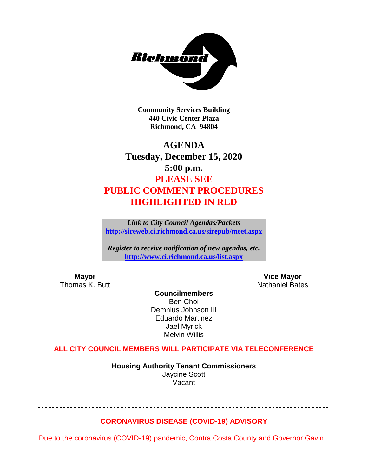

**Community Services Building 440 Civic Center Plaza Richmond, CA 94804**

## **AGENDA Tuesday, December 15, 2020 5:00 p.m. PLEASE SEE PUBLIC COMMENT PROCEDURES HIGHLIGHTED IN RED**

*Link to City Council Agendas/Packets* **<http://sireweb.ci.richmond.ca.us/sirepub/meet.aspx>**

*Register to receive notification of new agendas, etc.* **<http://www.ci.richmond.ca.us/list.aspx>**

**Mayor Vice Mayor** Thomas K. Butt Nathaniel Bates

**Councilmembers** Ben Choi Demnlus Johnson III Eduardo Martinez Jael Myrick Melvin Willis

## **ALL CITY COUNCIL MEMBERS WILL PARTICIPATE VIA TELECONFERENCE**

**Housing Authority Tenant Commissioners** Jaycine Scott Vacant

#### **CORONAVIRUS DISEASE (COVID-19) ADVISORY**

Due to the coronavirus (COVID-19) pandemic, Contra Costa County and Governor Gavin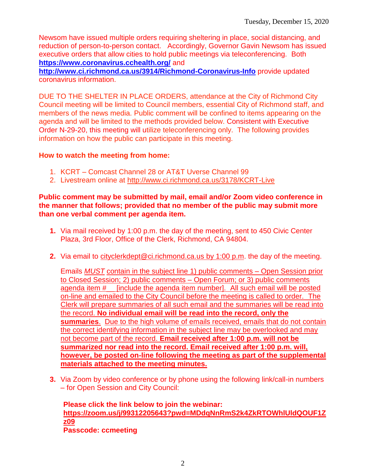Newsom have issued multiple orders requiring sheltering in place, social distancing, and reduction of person-to-person contact. Accordingly, Governor Gavin Newsom has issued executive orders that allow cities to hold public meetings via teleconferencing. Both **<https://www.coronavirus.cchealth.org/>** and

**<http://www.ci.richmond.ca.us/3914/Richmond-Coronavirus-Info>** provide updated coronavirus information.

DUE TO THE SHELTER IN PLACE ORDERS, attendance at the City of Richmond City Council meeting will be limited to Council members, essential City of Richmond staff, and members of the news media. Public comment will be confined to items appearing on the agenda and will be limited to the methods provided below. Consistent with Executive Order N-29-20, this meeting will utilize teleconferencing only. The following provides information on how the public can participate in this meeting.

### **How to watch the meeting from home:**

- 1. KCRT Comcast Channel 28 or AT&T Uverse Channel 99
- 2. Livestream online at<http://www.ci.richmond.ca.us/3178/KCRT-Live>

#### **Public comment may be submitted by mail, email and/or Zoom video conference in the manner that follows; provided that no member of the public may submit more than one verbal comment per agenda item.**

- **1.** Via mail received by 1:00 p.m. the day of the meeting, sent to 450 Civic Center Plaza, 3rd Floor, Office of the Clerk, Richmond, CA 94804.
- **2.** Via email to [cityclerkdept@ci.richmond.ca.us](mailto:cityclerkdept@ci.richmond.ca.us) by 1:00 p.m. the day of the meeting.

Emails *MUST* contain in the subject line 1) public comments – Open Session prior to Closed Session; 2) public comments – Open Forum; or 3) public comments agenda item #\_\_ [include the agenda item number]. All such email will be posted on-line and emailed to the City Council before the meeting is called to order. The Clerk will prepare summaries of all such email and the summaries will be read into the record. **No individual email will be read into the record, only the summaries**. Due to the high volume of emails received, emails that do not contain the correct identifying information in the subject line may be overlooked and may not become part of the record. **Email received after 1:00 p.m. will not be summarized nor read into the record. Email received after 1:00 p.m. will, however, be posted on-line following the meeting as part of the supplemental materials attached to the meeting minutes.**

**3.** Via Zoom by video conference or by phone using the following link/call-in numbers – for Open Session and City Council:

**Please click the link below to join the webinar: [https://zoom.us/j/99312205643?pwd=MDdqNnRmS2k4ZkRTOWhlUldQOUF1Z](https://zoom.us/j/99312205643?pwd=MDdqNnRmS2k4ZkRTOWhlUldQOUF1Zz09) [z09](https://zoom.us/j/99312205643?pwd=MDdqNnRmS2k4ZkRTOWhlUldQOUF1Zz09) Passcode: ccmeeting**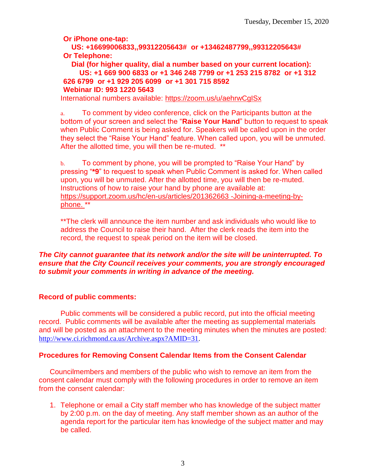**Or iPhone one-tap:**

**US: +16699006833,,99312205643# or +13462487799,,99312205643# Or Telephone:**

**Dial (for higher quality, dial a number based on your current location): US: +1 669 900 6833 or +1 346 248 7799 or +1 253 215 8782 or +1 312 626 6799 or +1 929 205 6099 or +1 301 715 8592 Webinar ID: 993 1220 5643**

International numbers available:<https://zoom.us/u/aehrwCgISx>

a. To comment by video conference, click on the Participants button at the bottom of your screen and select the "**Raise Your Hand**" button to request to speak when Public Comment is being asked for. Speakers will be called upon in the order they select the "Raise Your Hand" feature. When called upon, you will be unmuted. After the allotted time, you will then be re-muted. \*\*

b. To comment by phone, you will be prompted to "Raise Your Hand" by pressing "**\*9**" to request to speak when Public Comment is asked for. When called upon, you will be unmuted. After the allotted time, you will then be re-muted. Instructions of how to raise your hand by phone are available at: [https://support.zoom.us/hc/en-us/articles/201362663 -Joining-a-meeting-by](https://support.zoom.us/hc/en-us/articles/201362663)[phone.](https://support.zoom.us/hc/en-us/articles/201362663) \*\*

\*\*The clerk will announce the item number and ask individuals who would like to address the Council to raise their hand. After the clerk reads the item into the record, the request to speak period on the item will be closed.

### *The City cannot guarantee that its network and/or the site will be uninterrupted. To ensure that the City Council receives your comments, you are strongly encouraged to submit your comments in writing in advance of the meeting.*

## **Record of public comments:**

Public comments will be considered a public record, put into the official meeting record. Public comments will be available after the meeting as supplemental materials and will be posted as an attachment to the meeting minutes when the minutes are posted: [http://www.ci.richmond.ca.us/Archive.aspx?AMID=31.](http://www.ci.richmond.ca.us/Archive.aspx?AMID=31)

## **Procedures for Removing Consent Calendar Items from the Consent Calendar**

Councilmembers and members of the public who wish to remove an item from the consent calendar must comply with the following procedures in order to remove an item from the consent calendar:

1. Telephone or email a City staff member who has knowledge of the subject matter by 2:00 p.m. on the day of meeting. Any staff member shown as an author of the agenda report for the particular item has knowledge of the subject matter and may be called.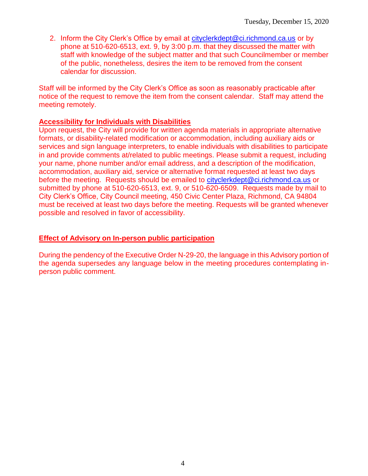2. Inform the City Clerk's Office by email at [cityclerkdept@ci.richmond.ca.us](mailto:cityclerkdept@ci.richmond.ca.us) or by phone at 510-620-6513, ext. 9, by 3:00 p.m. that they discussed the matter with staff with knowledge of the subject matter and that such Councilmember or member of the public, nonetheless, desires the item to be removed from the consent calendar for discussion.

Staff will be informed by the City Clerk's Office as soon as reasonably practicable after notice of the request to remove the item from the consent calendar. Staff may attend the meeting remotely.

#### **Accessibility for Individuals with Disabilities**

Upon request, the City will provide for written agenda materials in appropriate alternative formats, or disability-related modification or accommodation, including auxiliary aids or services and sign language interpreters, to enable individuals with disabilities to participate in and provide comments at/related to public meetings. Please submit a request, including your name, phone number and/or email address, and a description of the modification, accommodation, auxiliary aid, service or alternative format requested at least two days before the meeting. Requests should be emailed to [cityclerkdept@ci.richmond.ca.us](mailto:cityclerkdept@ci.richmond.ca.us) or submitted by phone at 510-620-6513, ext. 9, or 510-620-6509. Requests made by mail to City Clerk's Office, City Council meeting, 450 Civic Center Plaza, Richmond, CA 94804 must be received at least two days before the meeting. Requests will be granted whenever possible and resolved in favor of accessibility.

#### **Effect of Advisory on In-person public participation**

During the pendency of the Executive Order N-29-20, the language in this Advisory portion of the agenda supersedes any language below in the meeting procedures contemplating inperson public comment.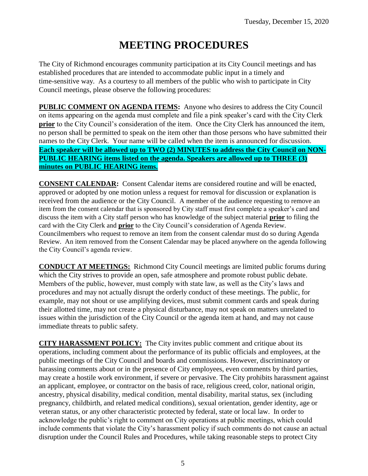# **MEETING PROCEDURES**

The City of Richmond encourages community participation at its City Council meetings and has established procedures that are intended to accommodate public input in a timely and time-sensitive way. As a courtesy to all members of the public who wish to participate in City Council meetings, please observe the following procedures:

**PUBLIC COMMENT ON AGENDA ITEMS:** Anyone who desires to address the City Council on items appearing on the agenda must complete and file a pink speaker's card with the City Clerk **prior** to the City Council's consideration of the item. Once the City Clerk has announced the item, no person shall be permitted to speak on the item other than those persons who have submitted their names to the City Clerk. Your name will be called when the item is announced for discussion. **Each speaker will be allowed up to TWO (2) MINUTES to address the City Council on NON-PUBLIC HEARING items listed on the agenda. Speakers are allowed up to THREE (3) minutes on PUBLIC HEARING items.**

**CONSENT CALENDAR:** Consent Calendar items are considered routine and will be enacted, approved or adopted by one motion unless a request for removal for discussion or explanation is received from the audience or the City Council. A member of the audience requesting to remove an item from the consent calendar that is sponsored by City staff must first complete a speaker's card and discuss the item with a City staff person who has knowledge of the subject material **prior** to filing the card with the City Clerk and **prior** to the City Council's consideration of Agenda Review. Councilmembers who request to remove an item from the consent calendar must do so during Agenda Review. An item removed from the Consent Calendar may be placed anywhere on the agenda following the City Council's agenda review.

**CONDUCT AT MEETINGS:** Richmond City Council meetings are limited public forums during which the City strives to provide an open, safe atmosphere and promote robust public debate. Members of the public, however, must comply with state law, as well as the City's laws and procedures and may not actually disrupt the orderly conduct of these meetings. The public, for example, may not shout or use amplifying devices, must submit comment cards and speak during their allotted time, may not create a physical disturbance, may not speak on matters unrelated to issues within the jurisdiction of the City Council or the agenda item at hand, and may not cause immediate threats to public safety.

**CITY HARASSMENT POLICY:** The City invites public comment and critique about its operations, including comment about the performance of its public officials and employees, at the public meetings of the City Council and boards and commissions. However, discriminatory or harassing comments about or in the presence of City employees, even comments by third parties, may create a hostile work environment, if severe or pervasive. The City prohibits harassment against an applicant, employee, or contractor on the basis of race, religious creed, color, national origin, ancestry, physical disability, medical condition, mental disability, marital status, sex (including pregnancy, childbirth, and related medical conditions), sexual orientation, gender identity, age or veteran status, or any other characteristic protected by federal, state or local law. In order to acknowledge the public's right to comment on City operations at public meetings, which could include comments that violate the City's harassment policy if such comments do not cause an actual disruption under the Council Rules and Procedures, while taking reasonable steps to protect City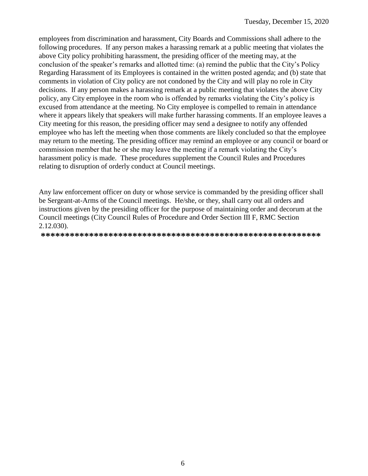employees from discrimination and harassment, City Boards and Commissions shall adhere to the following procedures. If any person makes a harassing remark at a public meeting that violates the above City policy prohibiting harassment, the presiding officer of the meeting may, at the conclusion of the speaker's remarks and allotted time: (a) remind the public that the City's Policy Regarding Harassment of its Employees is contained in the written posted agenda; and (b) state that comments in violation of City policy are not condoned by the City and will play no role in City decisions. If any person makes a harassing remark at a public meeting that violates the above City policy, any City employee in the room who is offended by remarks violating the City's policy is excused from attendance at the meeting. No City employee is compelled to remain in attendance where it appears likely that speakers will make further harassing comments. If an employee leaves a City meeting for this reason, the presiding officer may send a designee to notify any offended employee who has left the meeting when those comments are likely concluded so that the employee may return to the meeting. The presiding officer may remind an employee or any council or board or commission member that he or she may leave the meeting if a remark violating the City's harassment policy is made. These procedures supplement the Council Rules and Procedures relating to disruption of orderly conduct at Council meetings.

Any law enforcement officer on duty or whose service is commanded by the presiding officer shall be Sergeant-at-Arms of the Council meetings. He/she, or they, shall carry out all orders and instructions given by the presiding officer for the purpose of maintaining order and decorum at the Council meetings (City Council Rules of Procedure and Order Section III F, RMC Section 2.12.030).

**\*\*\*\*\*\*\*\*\*\*\*\*\*\*\*\*\*\*\*\*\*\*\*\*\*\*\*\*\*\*\*\*\*\*\*\*\*\*\*\*\*\*\*\*\*\*\*\*\*\*\*\*\*\*\*\*\*\***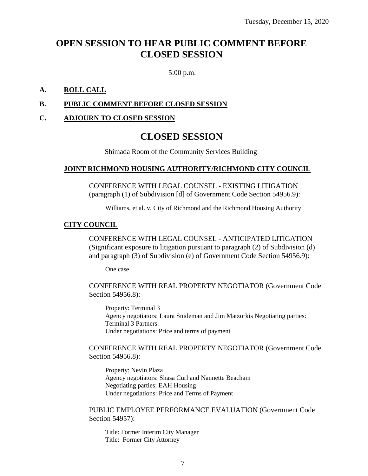## **OPEN SESSION TO HEAR PUBLIC COMMENT BEFORE CLOSED SESSION**

5:00 p.m.

#### **A. ROLL CALL**

#### **B. PUBLIC COMMENT BEFORE CLOSED SESSION**

#### **C. ADJOURN TO CLOSED SESSION**

## **CLOSED SESSION**

Shimada Room of the Community Services Building

#### **JOINT RICHMOND HOUSING AUTHORITY/RICHMOND CITY COUNCIL**

CONFERENCE WITH LEGAL COUNSEL - EXISTING LITIGATION (paragraph (1) of Subdivision [d] of Government Code Section 54956.9):

Williams, et al. v. City of Richmond and the Richmond Housing Authority

#### **CITY COUNCIL**

CONFERENCE WITH LEGAL COUNSEL - ANTICIPATED LITIGATION (Significant exposure to litigation pursuant to paragraph (2) of Subdivision (d) and paragraph (3) of Subdivision (e) of Government Code Section 54956.9):

One case

CONFERENCE WITH REAL PROPERTY NEGOTIATOR (Government Code Section 54956.8):

Property: Terminal 3 Agency negotiators: Laura Snideman and Jim Matzorkis Negotiating parties: Terminal 3 Partners. Under negotiations: Price and terms of payment

#### CONFERENCE WITH REAL PROPERTY NEGOTIATOR (Government Code Section 54956.8):

Property: Nevin Plaza Agency negotiators: Shasa Curl and Nannette Beacham Negotiating parties: EAH Housing Under negotiations: Price and Terms of Payment

PUBLIC EMPLOYEE PERFORMANCE EVALUATION (Government Code Section 54957):

Title: Former Interim City Manager Title: Former City Attorney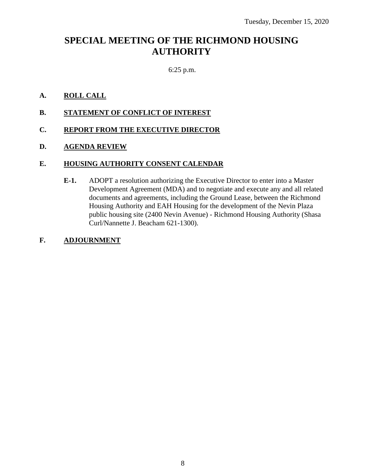## **SPECIAL MEETING OF THE RICHMOND HOUSING AUTHORITY**

### 6:25 p.m.

#### **A. ROLL CALL**

**B. STATEMENT OF CONFLICT OF INTEREST**

### **C. REPORT FROM THE EXECUTIVE DIRECTOR**

#### **D. AGENDA REVIEW**

#### **E. HOUSING AUTHORITY CONSENT CALENDAR**

**E-1.** ADOPT a resolution authorizing the Executive Director to enter into a Master Development Agreement (MDA) and to negotiate and execute any and all related documents and agreements, including the Ground Lease, between the Richmond Housing Authority and EAH Housing for the development of the Nevin Plaza public housing site (2400 Nevin Avenue) - Richmond Housing Authority (Shasa Curl/Nannette J. Beacham 621-1300).

#### **F. ADJOURNMENT**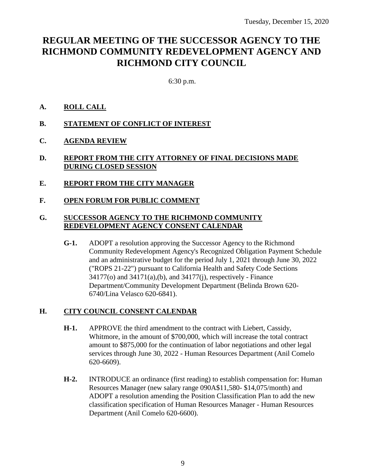## **REGULAR MEETING OF THE SUCCESSOR AGENCY TO THE RICHMOND COMMUNITY REDEVELOPMENT AGENCY AND RICHMOND CITY COUNCIL**

6:30 p.m.

### **A. ROLL CALL**

- **B. STATEMENT OF CONFLICT OF INTEREST**
- **C. AGENDA REVIEW**
- **D. REPORT FROM THE CITY ATTORNEY OF FINAL DECISIONS MADE DURING CLOSED SESSION**
- **E. REPORT FROM THE CITY MANAGER**
- **F. OPEN FORUM FOR PUBLIC COMMENT**

### **G. SUCCESSOR AGENCY TO THE RICHMOND COMMUNITY REDEVELOPMENT AGENCY CONSENT CALENDAR**

**G-1.** ADOPT a resolution approving the Successor Agency to the Richmond Community Redevelopment Agency's Recognized Obligation Payment Schedule and an administrative budget for the period July 1, 2021 through June 30, 2022 ("ROPS 21-22") pursuant to California Health and Safety Code Sections 34177(o) and 34171(a),(b), and 34177(j), respectively - Finance Department/Community Development Department (Belinda Brown 620- 6740/Lina Velasco 620-6841).

#### **H. CITY COUNCIL CONSENT CALENDAR**

- **H-1.** APPROVE the third amendment to the contract with Liebert, Cassidy, Whitmore, in the amount of \$700,000, which will increase the total contract amount to \$875,000 for the continuation of labor negotiations and other legal services through June 30, 2022 - Human Resources Department (Anil Comelo 620-6609).
- **H-2.** INTRODUCE an ordinance (first reading) to establish compensation for: Human Resources Manager (new salary range 090A\$11,580- \$14,075/month) and ADOPT a resolution amending the Position Classification Plan to add the new classification specification of Human Resources Manager - Human Resources Department (Anil Comelo 620-6600).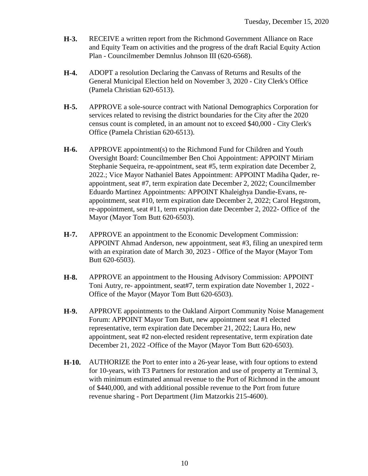- **H-3.** RECEIVE a written report from the Richmond Government Alliance on Race and Equity Team on activities and the progress of the draft Racial Equity Action Plan - Councilmember Demnlus Johnson III (620-6568).
- **H-4.** ADOPT a resolution Declaring the Canvass of Returns and Results of the General Municipal Election held on November 3, 2020 - City Clerk's Office (Pamela Christian 620-6513).
- **H-5.** APPROVE a sole-source contract with National Demographics Corporation for services related to revising the district boundaries for the City after the 2020 census count is completed, in an amount not to exceed \$40,000 - City Clerk's Office (Pamela Christian 620-6513).
- **H-6.** APPROVE appointment(s) to the Richmond Fund for Children and Youth Oversight Board: Councilmember Ben Choi Appointment: APPOINT Miriam Stephanie Sequeira, re-appointment, seat #5, term expiration date December 2, 2022.; Vice Mayor Nathaniel Bates Appointment: APPOINT Madiha Qader, reappointment, seat #7, term expiration date December 2, 2022; Councilmember Eduardo Martinez Appointments: APPOINT Khaleighya Dandie-Evans, reappointment, seat #10, term expiration date December 2, 2022; Carol Hegstrom, re-appointment, seat #11, term expiration date December 2, 2022- Office of the Mayor (Mayor Tom Butt 620-6503).
- **H-7.** APPROVE an appointment to the Economic Development Commission: APPOINT Ahmad Anderson, new appointment, seat #3, filing an unexpired term with an expiration date of March 30, 2023 - Office of the Mayor (Mayor Tom Butt 620-6503).
- **H-8.** APPROVE an appointment to the Housing Advisory Commission: APPOINT Toni Autry, re- appointment, seat#7, term expiration date November 1, 2022 - Office of the Mayor (Mayor Tom Butt 620-6503).
- **H-9.** APPROVE appointments to the Oakland Airport Community Noise Management Forum: APPOINT Mayor Tom Butt, new appointment seat #1 elected representative, term expiration date December 21, 2022; Laura Ho, new appointment, seat #2 non-elected resident representative, term expiration date December 21, 2022 -Office of the Mayor (Mayor Tom Butt 620-6503).
- **H-10.** AUTHORIZE the Port to enter into a 26-year lease, with four options to extend for 10-years, with T3 Partners for restoration and use of property at Terminal 3, with minimum estimated annual revenue to the Port of Richmond in the amount of \$440,000, and with additional possible revenue to the Port from future revenue sharing - Port Department (Jim Matzorkis 215-4600).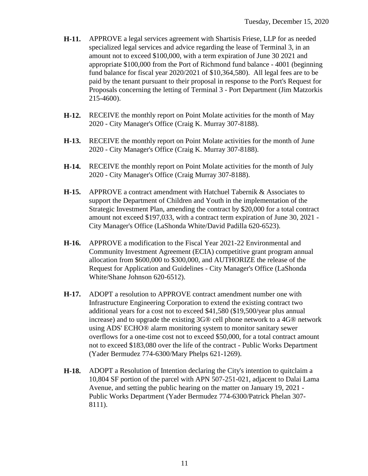- **H-11.** APPROVE a legal services agreement with Shartisis Friese, LLP for as needed specialized legal services and advice regarding the lease of Terminal 3, in an amount not to exceed \$100,000, with a term expiration of June 30 2021 and appropriate \$100,000 from the Port of Richmond fund balance - 4001 (beginning fund balance for fiscal year 2020/2021 of \$10,364,580). All legal fees are to be paid by the tenant pursuant to their proposal in response to the Port's Request for Proposals concerning the letting of Terminal 3 - Port Department (Jim Matzorkis 215-4600).
- **H-12.** RECEIVE the monthly report on Point Molate activities for the month of May 2020 - City Manager's Office (Craig K. Murray 307-8188).
- **H-13.** RECEIVE the monthly report on Point Molate activities for the month of June 2020 - City Manager's Office (Craig K. Murray 307-8188).
- **H-14.** RECEIVE the monthly report on Point Molate activities for the month of July 2020 - City Manager's Office (Craig Murray 307-8188).
- **H-15.** APPROVE a contract amendment with Hatchuel Tabernik & Associates to support the Department of Children and Youth in the implementation of the Strategic Investment Plan, amending the contract by \$20,000 for a total contract amount not exceed \$197,033, with a contract term expiration of June 30, 2021 - City Manager's Office (LaShonda White/David Padilla 620-6523).
- **H-16.** APPROVE a modification to the Fiscal Year 2021-22 Environmental and Community Investment Agreement (ECIA) competitive grant program annual allocation from \$600,000 to \$300,000, and AUTHORIZE the release of the Request for Application and Guidelines - City Manager's Office (LaShonda White/Shane Johnson 620-6512).
- **H-17.** ADOPT a resolution to APPROVE contract amendment number one with Infrastructure Engineering Corporation to extend the existing contract two additional years for a cost not to exceed \$41,580 (\$19,500/year plus annual increase) and to upgrade the existing 3G® cell phone network to a 4G® network using ADS' ECHO® alarm monitoring system to monitor sanitary sewer overflows for a one-time cost not to exceed \$50,000, for a total contract amount not to exceed \$183,080 over the life of the contract - Public Works Department (Yader Bermudez 774-6300/Mary Phelps 621-1269).
- **H-18.** ADOPT a Resolution of Intention declaring the City's intention to quitclaim a 10,804 SF portion of the parcel with APN 507-251-021, adjacent to Dalai Lama Avenue, and setting the public hearing on the matter on January 19, 2021 - Public Works Department (Yader Bermudez 774-6300/Patrick Phelan 307- 8111).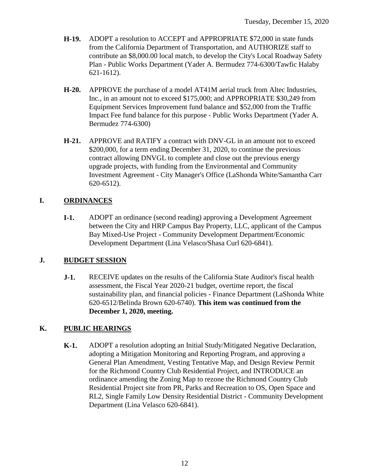- **H-19.** ADOPT a resolution to ACCEPT and APPROPRIATE \$72,000 in state funds from the California Department of Transportation, and AUTHORIZE staff to contribute an \$8,000.00 local match, to develop the City's Local Roadway Safety Plan - Public Works Department (Yader A. Bermudez 774-6300/Tawfic Halaby 621-1612).
- **H-20.** APPROVE the purchase of a model AT41M aerial truck from Altec Industries, Inc., in an amount not to exceed \$175,000; and APPROPRIATE \$30,249 from Equipment Services Improvement fund balance and \$52,000 from the Traffic Impact Fee fund balance for this purpose - Public Works Department (Yader A. Bermudez 774-6300)
- **H-21.** APPROVE and RATIFY a contract with DNV-GL in an amount not to exceed \$200,000, for a term ending December 31, 2020, to continue the previous contract allowing DNVGL to complete and close out the previous energy upgrade projects, with funding from the Environmental and Community Investment Agreement - City Manager's Office (LaShonda White/Samantha Carr 620-6512).

## **I. ORDINANCES**

**I-1.** ADOPT an ordinance (second reading) approving a Development Agreement between the City and HRP Campus Bay Property, LLC, applicant of the Campus Bay Mixed-Use Project - Community Development Department/Economic Development Department (Lina Velasco/Shasa Curl 620-6841).

## **J. BUDGET SESSION**

**J-1.** RECEIVE updates on the results of the California State Auditor's fiscal health assessment, the Fiscal Year 2020-21 budget, overtime report, the fiscal sustainability plan, and financial policies - Finance Department (LaShonda White 620-6512/Belinda Brown 620-6740). **This item was continued from the December 1, 2020, meeting.**

## **K. PUBLIC HEARINGS**

**K-1.** ADOPT a resolution adopting an Initial Study/Mitigated Negative Declaration, adopting a Mitigation Monitoring and Reporting Program, and approving a General Plan Amendment, Vesting Tentative Map, and Design Review Permit for the Richmond Country Club Residential Project, and INTRODUCE an ordinance amending the Zoning Map to rezone the Richmond Country Club Residential Project site from PR, Parks and Recreation to OS, Open Space and RL2, Single Family Low Density Residential District - Community Development Department (Lina Velasco 620-6841).